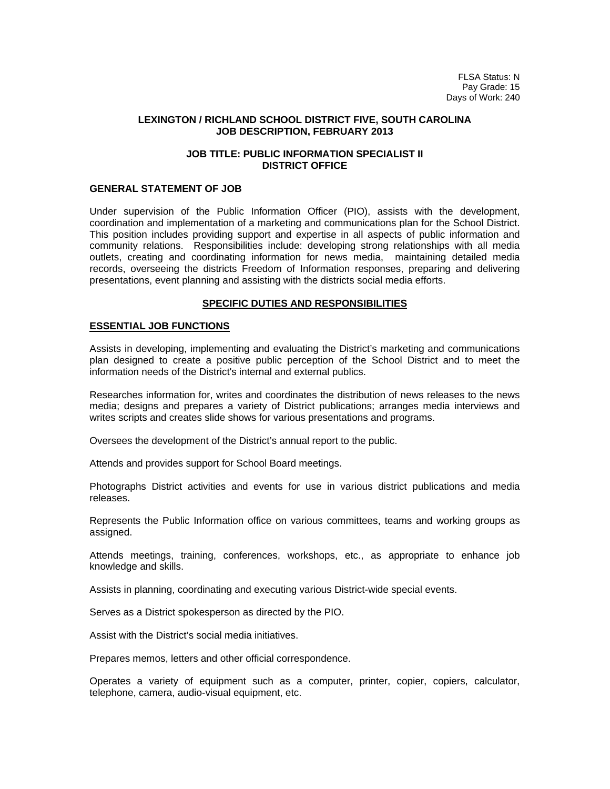FLSA Status: N Pay Grade: 15 Days of Work: 240

#### **LEXINGTON / RICHLAND SCHOOL DISTRICT FIVE, SOUTH CAROLINA JOB DESCRIPTION, FEBRUARY 2013**

## **JOB TITLE: PUBLIC INFORMATION SPECIALIST II DISTRICT OFFICE**

## **GENERAL STATEMENT OF JOB**

Under supervision of the Public Information Officer (PIO), assists with the development, coordination and implementation of a marketing and communications plan for the School District. This position includes providing support and expertise in all aspects of public information and community relations. Responsibilities include: developing strong relationships with all media outlets, creating and coordinating information for news media, maintaining detailed media records, overseeing the districts Freedom of Information responses, preparing and delivering presentations, event planning and assisting with the districts social media efforts.

#### **SPECIFIC DUTIES AND RESPONSIBILITIES**

#### **ESSENTIAL JOB FUNCTIONS**

Assists in developing, implementing and evaluating the District's marketing and communications plan designed to create a positive public perception of the School District and to meet the information needs of the District's internal and external publics.

Researches information for, writes and coordinates the distribution of news releases to the news media; designs and prepares a variety of District publications; arranges media interviews and writes scripts and creates slide shows for various presentations and programs.

Oversees the development of the District's annual report to the public.

Attends and provides support for School Board meetings.

Photographs District activities and events for use in various district publications and media releases.

Represents the Public Information office on various committees, teams and working groups as assigned.

Attends meetings, training, conferences, workshops, etc., as appropriate to enhance job knowledge and skills.

Assists in planning, coordinating and executing various District-wide special events.

Serves as a District spokesperson as directed by the PIO.

Assist with the District's social media initiatives.

Prepares memos, letters and other official correspondence.

Operates a variety of equipment such as a computer, printer, copier, copiers, calculator, telephone, camera, audio-visual equipment, etc.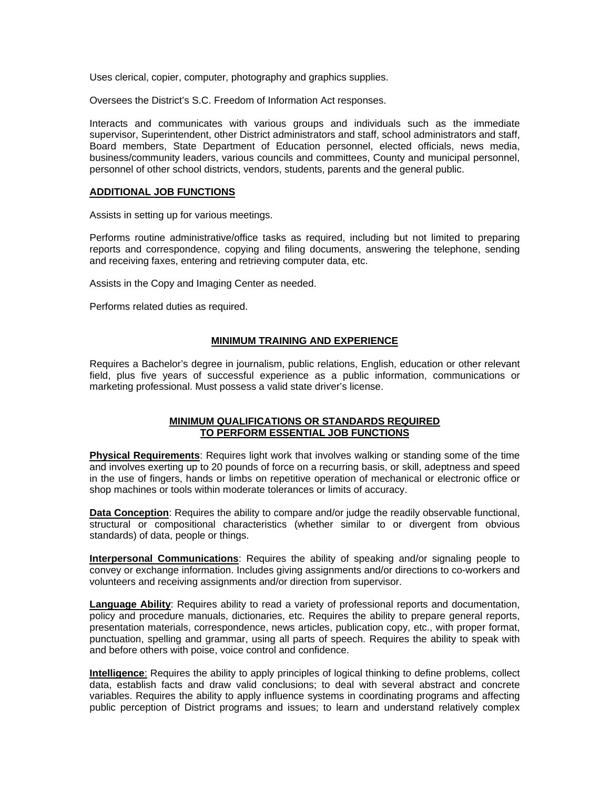Uses clerical, copier, computer, photography and graphics supplies.

Oversees the District's S.C. Freedom of Information Act responses.

Interacts and communicates with various groups and individuals such as the immediate supervisor, Superintendent, other District administrators and staff, school administrators and staff, Board members, State Department of Education personnel, elected officials, news media, business/community leaders, various councils and committees, County and municipal personnel, personnel of other school districts, vendors, students, parents and the general public.

## **ADDITIONAL JOB FUNCTIONS**

Assists in setting up for various meetings.

Performs routine administrative/office tasks as required, including but not limited to preparing reports and correspondence, copying and filing documents, answering the telephone, sending and receiving faxes, entering and retrieving computer data, etc.

Assists in the Copy and Imaging Center as needed.

Performs related duties as required.

## **MINIMUM TRAINING AND EXPERIENCE**

Requires a Bachelor's degree in journalism, public relations, English, education or other relevant field, plus five years of successful experience as a public information, communications or marketing professional. Must possess a valid state driver's license.

# **MINIMUM QUALIFICATIONS OR STANDARDS REQUIRED TO PERFORM ESSENTIAL JOB FUNCTIONS**

**Physical Requirements**: Requires light work that involves walking or standing some of the time and involves exerting up to 20 pounds of force on a recurring basis, or skill, adeptness and speed in the use of fingers, hands or limbs on repetitive operation of mechanical or electronic office or shop machines or tools within moderate tolerances or limits of accuracy.

**Data Conception**: Requires the ability to compare and/or judge the readily observable functional, structural or compositional characteristics (whether similar to or divergent from obvious standards) of data, people or things.

**Interpersonal Communications**: Requires the ability of speaking and/or signaling people to convey or exchange information. Includes giving assignments and/or directions to co-workers and volunteers and receiving assignments and/or direction from supervisor.

**Language Ability**: Requires ability to read a variety of professional reports and documentation, policy and procedure manuals, dictionaries, etc. Requires the ability to prepare general reports, presentation materials, correspondence, news articles, publication copy, etc., with proper format, punctuation, spelling and grammar, using all parts of speech. Requires the ability to speak with and before others with poise, voice control and confidence.

**Intelligence**: Requires the ability to apply principles of logical thinking to define problems, collect data, establish facts and draw valid conclusions; to deal with several abstract and concrete variables. Requires the ability to apply influence systems in coordinating programs and affecting public perception of District programs and issues; to learn and understand relatively complex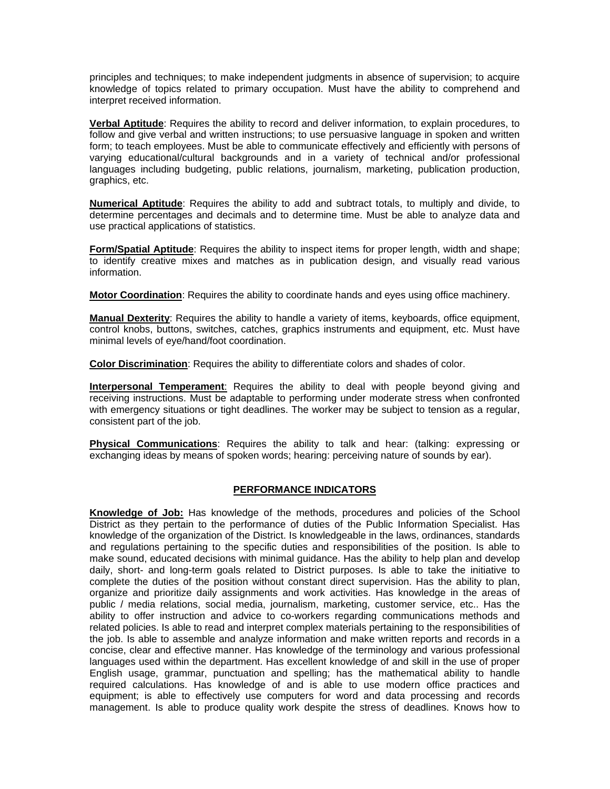principles and techniques; to make independent judgments in absence of supervision; to acquire knowledge of topics related to primary occupation. Must have the ability to comprehend and interpret received information.

**Verbal Aptitude**: Requires the ability to record and deliver information, to explain procedures, to follow and give verbal and written instructions; to use persuasive language in spoken and written form; to teach employees. Must be able to communicate effectively and efficiently with persons of varying educational/cultural backgrounds and in a variety of technical and/or professional languages including budgeting, public relations, journalism, marketing, publication production, graphics, etc.

**Numerical Aptitude**: Requires the ability to add and subtract totals, to multiply and divide, to determine percentages and decimals and to determine time. Must be able to analyze data and use practical applications of statistics.

**Form/Spatial Aptitude**: Requires the ability to inspect items for proper length, width and shape; to identify creative mixes and matches as in publication design, and visually read various information.

**Motor Coordination**: Requires the ability to coordinate hands and eyes using office machinery.

**Manual Dexterity**: Requires the ability to handle a variety of items, keyboards, office equipment, control knobs, buttons, switches, catches, graphics instruments and equipment, etc. Must have minimal levels of eye/hand/foot coordination.

**Color Discrimination**: Requires the ability to differentiate colors and shades of color.

**Interpersonal Temperament**: Requires the ability to deal with people beyond giving and receiving instructions. Must be adaptable to performing under moderate stress when confronted with emergency situations or tight deadlines. The worker may be subject to tension as a regular, consistent part of the job.

**Physical Communications**: Requires the ability to talk and hear: (talking: expressing or exchanging ideas by means of spoken words; hearing: perceiving nature of sounds by ear).

# **PERFORMANCE INDICATORS**

**Knowledge of Job:** Has knowledge of the methods, procedures and policies of the School District as they pertain to the performance of duties of the Public Information Specialist. Has knowledge of the organization of the District. Is knowledgeable in the laws, ordinances, standards and regulations pertaining to the specific duties and responsibilities of the position. Is able to make sound, educated decisions with minimal guidance. Has the ability to help plan and develop daily, short- and long-term goals related to District purposes. Is able to take the initiative to complete the duties of the position without constant direct supervision. Has the ability to plan, organize and prioritize daily assignments and work activities. Has knowledge in the areas of public / media relations, social media, journalism, marketing, customer service, etc.. Has the ability to offer instruction and advice to co-workers regarding communications methods and related policies. Is able to read and interpret complex materials pertaining to the responsibilities of the job. Is able to assemble and analyze information and make written reports and records in a concise, clear and effective manner. Has knowledge of the terminology and various professional languages used within the department. Has excellent knowledge of and skill in the use of proper English usage, grammar, punctuation and spelling; has the mathematical ability to handle required calculations. Has knowledge of and is able to use modern office practices and equipment; is able to effectively use computers for word and data processing and records management. Is able to produce quality work despite the stress of deadlines. Knows how to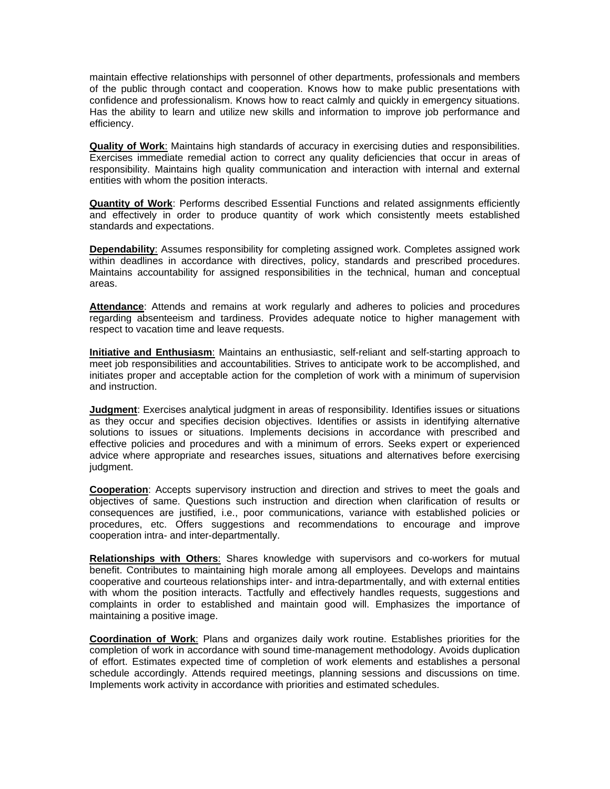maintain effective relationships with personnel of other departments, professionals and members of the public through contact and cooperation. Knows how to make public presentations with confidence and professionalism. Knows how to react calmly and quickly in emergency situations. Has the ability to learn and utilize new skills and information to improve job performance and efficiency.

**Quality of Work**: Maintains high standards of accuracy in exercising duties and responsibilities. Exercises immediate remedial action to correct any quality deficiencies that occur in areas of responsibility. Maintains high quality communication and interaction with internal and external entities with whom the position interacts.

**Quantity of Work**: Performs described Essential Functions and related assignments efficiently and effectively in order to produce quantity of work which consistently meets established standards and expectations.

**Dependability**: Assumes responsibility for completing assigned work. Completes assigned work within deadlines in accordance with directives, policy, standards and prescribed procedures. Maintains accountability for assigned responsibilities in the technical, human and conceptual areas.

**Attendance**: Attends and remains at work regularly and adheres to policies and procedures regarding absenteeism and tardiness. Provides adequate notice to higher management with respect to vacation time and leave requests.

**Initiative and Enthusiasm**: Maintains an enthusiastic, self-reliant and self-starting approach to meet job responsibilities and accountabilities. Strives to anticipate work to be accomplished, and initiates proper and acceptable action for the completion of work with a minimum of supervision and instruction.

**Judgment**: Exercises analytical judgment in areas of responsibility. Identifies issues or situations as they occur and specifies decision objectives. Identifies or assists in identifying alternative solutions to issues or situations. Implements decisions in accordance with prescribed and effective policies and procedures and with a minimum of errors. Seeks expert or experienced advice where appropriate and researches issues, situations and alternatives before exercising judgment.

**Cooperation**: Accepts supervisory instruction and direction and strives to meet the goals and objectives of same. Questions such instruction and direction when clarification of results or consequences are justified, i.e., poor communications, variance with established policies or procedures, etc. Offers suggestions and recommendations to encourage and improve cooperation intra- and inter-departmentally.

**Relationships with Others**: Shares knowledge with supervisors and co-workers for mutual benefit. Contributes to maintaining high morale among all employees. Develops and maintains cooperative and courteous relationships inter- and intra-departmentally, and with external entities with whom the position interacts. Tactfully and effectively handles requests, suggestions and complaints in order to established and maintain good will. Emphasizes the importance of maintaining a positive image.

**Coordination of Work**: Plans and organizes daily work routine. Establishes priorities for the completion of work in accordance with sound time-management methodology. Avoids duplication of effort. Estimates expected time of completion of work elements and establishes a personal schedule accordingly. Attends required meetings, planning sessions and discussions on time. Implements work activity in accordance with priorities and estimated schedules.